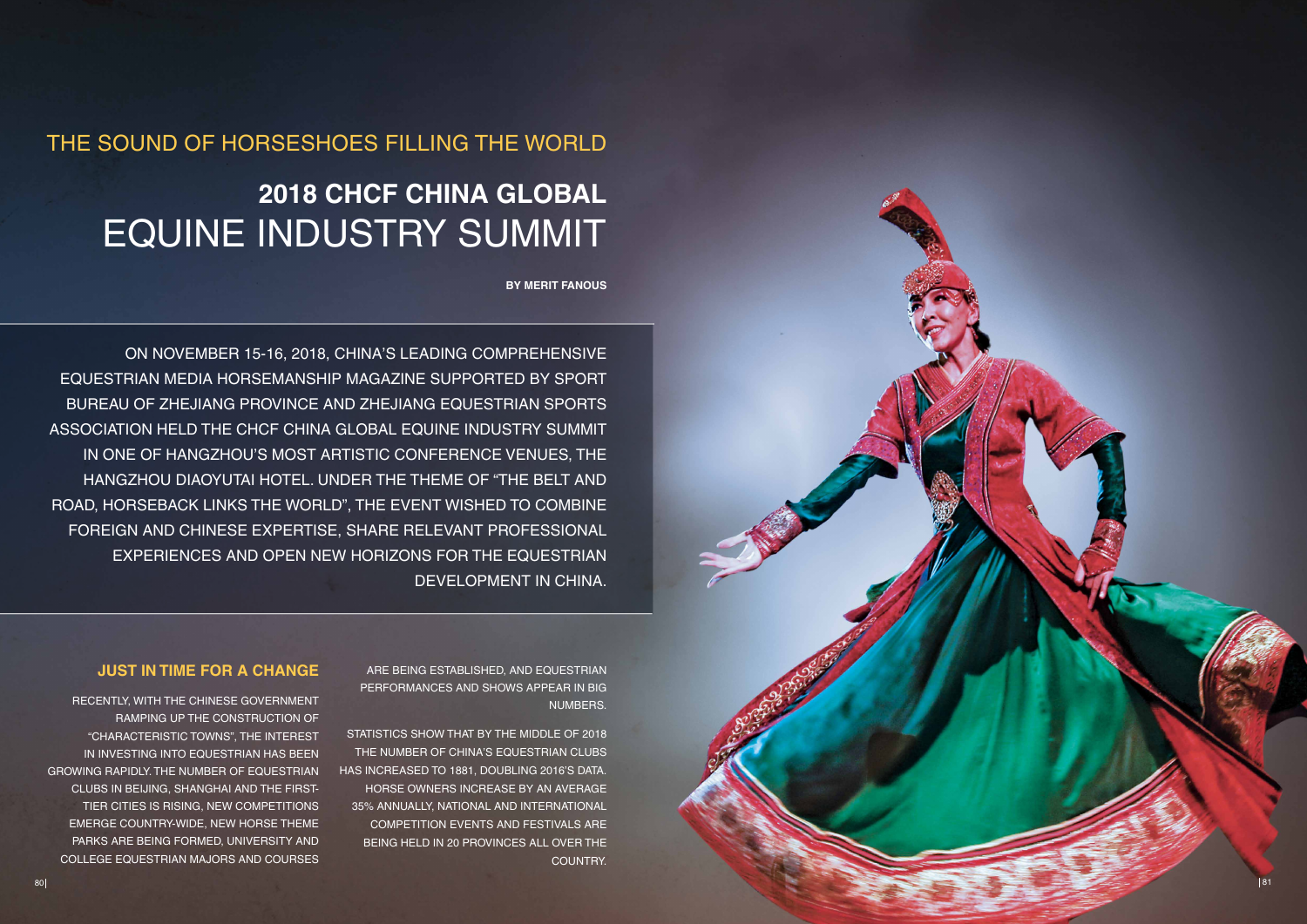### THE SOUND OF HORSESHOES FILLING THE WORLD

## **2018 CHCF China Global** EQUINE INDUSTRY SUMMIT

**By Merit Fanous**

On November 15-16, 2018, China's leading comprehensive equestrian media Horsemanship Magazine supported by Sport Bureau of Zhejiang Province and Zhejiang Equestrian Sports Association held the CHCF China Global Equine Industry Summit in one of Hangzhou's most artistic conference venues, the Hangzhou Diaoyutai Hotel. Under the theme of "The Belt and Road, Horseback Links the World", the event wished to combine foreign and Chinese expertise, share relevant professional experiences and open new horizons for the equestrian development in China.

### **Just in time for A change**

STATISTICS SHOW THAT BY THE MIDDLE OF 2018 the number of China's equestrian clubs has increased to 1881, doubling 2016's data. Horse owners increase by an average 35% annually, national and international competition events and festivals are being held in 20 provinces all over the country.

Recently, with the Chinese Government ramping up the construction of "characteristic towns", the interest in investing into equestrian has been growing rapidly. The number of equestrian clubs in Beijing, Shanghai and the firsttier cities is rising, new competitions emerge country-wide, new horse theme parks are being formed, university and college equestrian majors and courses

are being established, and equestrian performances and shows appear in big numbers.